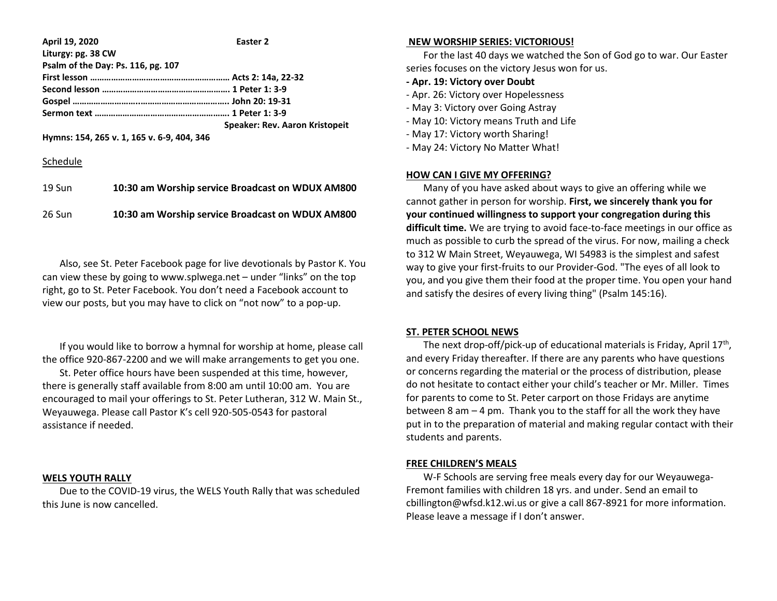| April 19, 2020                             | Easter <sub>2</sub>                   |
|--------------------------------------------|---------------------------------------|
| Liturgy: pg. 38 CW                         |                                       |
| Psalm of the Day: Ps. 116, pg. 107         |                                       |
|                                            |                                       |
|                                            |                                       |
|                                            |                                       |
|                                            |                                       |
|                                            | <b>Speaker: Rev. Aaron Kristopeit</b> |
| Hymns: 154, 265 v. 1, 165 v. 6-9, 404, 346 |                                       |

#### Schedule

| $19 S$ un | 10:30 am Worship service Broadcast on WDUX AM800 |
|-----------|--------------------------------------------------|
| 26 Sun    | 10:30 am Worship service Broadcast on WDUX AM800 |

 Also, see St. Peter Facebook page for live devotionals by Pastor K. You can view these by going to www.splwega.net – under "links" on the top right, go to St. Peter Facebook. You don't need a Facebook account to view our posts, but you may have to click on "not now" to a pop-up.

 If you would like to borrow a hymnal for worship at home, please call the office 920-867-2200 and we will make arrangements to get you one.

 St. Peter office hours have been suspended at this time, however, there is generally staff available from 8:00 am until 10:00 am. You are encouraged to mail your offerings to St. Peter Lutheran, 312 W. Main St., Weyauwega. Please call Pastor K's cell 920-505-0543 for pastoral assistance if needed.

### **WELS YOUTH RALLY**

 Due to the COVID-19 virus, the WELS Youth Rally that was scheduled this June is now cancelled.

#### **NEW WORSHIP SERIES: VICTORIOUS!**

 For the last 40 days we watched the Son of God go to war. Our Easter series focuses on the victory Jesus won for us.

### **- Apr. 19: Victory over Doubt**

- Apr. 26: Victory over Hopelessness
- May 3: Victory over Going Astray
- May 10: Victory means Truth and Life
- May 17: Victory worth Sharing!
- May 24: Victory No Matter What!

#### **HOW CAN I GIVE MY OFFERING?**

 Many of you have asked about ways to give an offering while we cannot gather in person for worship. **First, we sincerely thank you for your continued willingness to support your congregation during this difficult time.** We are trying to avoid face-to-face meetings in our office as much as possible to curb the spread of the virus. For now, mailing a check to 312 W Main Street, Weyauwega, WI 54983 is the simplest and safest way to give your first-fruits to our Provider-God. "The eyes of all look to you, and you give them their food at the proper time. You open your hand and satisfy the desires of every living thing" (Psalm 145:16).

#### **ST. PETER SCHOOL NEWS**

The next drop-off/pick-up of educational materials is Friday, April  $17<sup>th</sup>$ , and every Friday thereafter. If there are any parents who have questions or concerns regarding the material or the process of distribution, please do not hesitate to contact either your child's teacher or Mr. Miller. Times for parents to come to St. Peter carport on those Fridays are anytime between 8 am  $-4$  pm. Thank you to the staff for all the work they have put in to the preparation of material and making regular contact with their students and parents.

#### **FREE CHILDREN'S MEALS**

 W-F Schools are serving free meals every day for our Weyauwega-Fremont families with children 18 yrs. and under. Send an email to cbillington@wfsd.k12.wi.us or give a call 867-8921 for more information. Please leave a message if I don't answer.